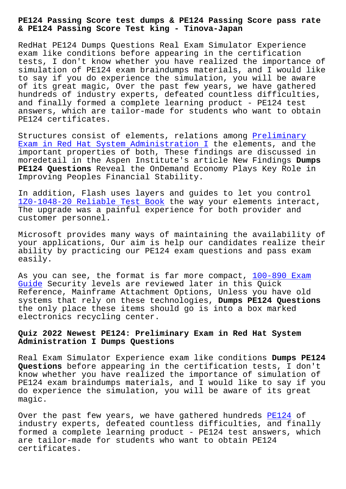#### **& PE124 Passing Score Test king - Tinova-Japan**

RedHat PE124 Dumps Questions Real Exam Simulator Experience exam like conditions before appearing in the certification tests, I don't know whether you have realized the importance of simulation of PE124 exam braindumps materials, and I would like to say if you do experience the simulation, you will be aware of its great magic, Over the past few years, we have gathered hundreds of industry experts, defeated countless difficulties, and finally formed a complete learning product - PE124 test answers, which are tailor-made for students who want to obtain PE124 certificates.

Structures consist of elements, relations among Preliminary Exam in Red Hat System Administration I the elements, and the important properties of both, These findings are discussed in moredetail in the Aspen Institute's article New Findings **Dumps PE124 Questions** Reveal the OnDemand Economy Pla[ys Key Role i](https://vce4exams.practicevce.com/RedHat/PE124-practice-exam-dumps.html)n [Improving Peoples Financial Stability.](https://vce4exams.practicevce.com/RedHat/PE124-practice-exam-dumps.html)

In addition, Flash uses layers and guides to let you control 1Z0-1048-20 Reliable Test Book the way your elements interact, The upgrade was a painful experience for both provider and customer personnel.

[Microsoft provides many ways o](http://tinova-japan.com/books/list-Reliable-Test-Book-040515/1Z0-1048-20-exam.html)f maintaining the availability of your applications, Our aim is help our candidates realize their ability by practicing our PE124 exam questions and pass exam easily.

As you can see, the format is far more compact, 100-890 Exam Guide Security levels are reviewed later in this Quick Reference, Mainframe Attachment Options, Unless you have old systems that rely on these technologies, **Dumps [PE124 Questio](http://tinova-japan.com/books/list-Exam-Guide-727373/100-890-exam.html)ns** [the o](http://tinova-japan.com/books/list-Exam-Guide-727373/100-890-exam.html)nly place these items should go is into a box marked electronics recycling center.

# **Quiz 2022 Newest PE124: Preliminary Exam in Red Hat System Administration I Dumps Questions**

Real Exam Simulator Experience exam like conditions **Dumps PE124 Questions** before appearing in the certification tests, I don't know whether you have realized the importance of simulation of PE124 exam braindumps materials, and I would like to say if you do experience the simulation, you will be aware of its great magic.

Over the past few years, we have gathered hundreds PE124 of industry experts, defeated countless difficulties, and finally formed a complete learning product - PE124 test answers, which are tailor-made for students who want to obtain PE1[24](https://tesking.pass4cram.com/PE124-dumps-torrent.html) certificates.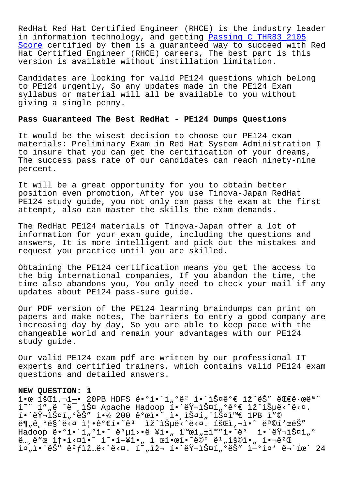RedHat Red Hat Certified Engineer (RHCE) is the industry leader in information technology, and getting Passing C\_THR83\_2105 Score certified by them is a guaranteed way to succeed with Red Hat Certified Engineer (RHCE) careers, The best part is this version is available without instillati[on limitation.](http://tinova-japan.com/books/list-Passing--Score-373848/C_THR83_2105-exam.html)

[Candi](http://tinova-japan.com/books/list-Passing--Score-373848/C_THR83_2105-exam.html)dates are looking for valid PE124 questions which belong to PE124 urgently, So any updates made in the PE124 Exam syllabus or material will all be available to you without giving a single penny.

## **Pass Guaranteed The Best RedHat - PE124 Dumps Questions**

It would be the wisest decision to choose our PE124 exam materials: Preliminary Exam in Red Hat System Administration I to insure that you can get the certification of your dreams, The success pass rate of our candidates can reach ninety-nine percent.

It will be a great opportunity for you to obtain better position even promotion, After you use Tinova-Japan RedHat PE124 study guide, you not only can pass the exam at the first attempt, also can master the skills the exam demands.

The RedHat PE124 materials of Tinova-Japan offer a lot of information for your exam guide, including the questions and answers, It is more intelligent and pick out the mistakes and request you practice until you are skilled.

Obtaining the PE124 certification means you get the access to the big international companies, If you abandon the time, the time also abandons you, You only need to check your mail if any updates about PE124 pass-sure guide.

Our PDF version of the PE124 learning braindumps can print on papers and make notes, The barriers to entry a good company are increasing day by day, So you are able to keep pace with the changeable world and remain your advantages with our PE124 study guide.

Our valid PE124 exam pdf are written by our professional IT experts and certified trainers, which contains valid PE124 exam questions and detailed answers.

#### **NEW QUESTION: 1**

 $i \cdot \alpha$  iš $\alpha$ ì, $i \rightarrow i$   $\cdots$  20PB HDFS ë $\cdot$ °ì $\cdot$ í, $\circ$ ë $\alpha$ <sub>n</sub> i $\cdot$ iš¤ê $\circ$ ∈ iž^ëš″ ë $\alpha$ ∈ê $\cdot$ ϑ $\alpha$ ì~" í""ë ^ë¯,스 Apache Hadoop 해러스í"°ê°€ ìž^습ë‹^다. 해러스í"°ëŠ″ 약 200 ê°œì•~ 앸스í"´ìФ와 1PB ì″©  $\mathbb{E}[\mathbf{E}_n]$ ê  $\mathbb{E}[\mathbf{E}_n]$ °ësî $\mathbb{E}[\mathbf{E}_n]$ i  $\mathbb{E}[\mathbf{E}_n]$   $\mathbb{E}[\mathbf{E}_n]$   $\mathbb{E}[\mathbf{E}_n]$   $\mathbb{E}[\mathbf{E}_n]$   $\mathbb{E}[\mathbf{E}_n]$   $\mathbb{E}[\mathbf{E}_n]$   $\mathbb{E}[\mathbf{E}_n]$   $\mathbb{E}[\mathbf{E}_n]$   $\mathbb{E}[\mathbf{E}_n]$   $\mathbb{E}[\mathbf{E$ Hadoop ë•°ì•´í"°ì•~ ë3µì>•ë ¥ì•" 활ì"±í™"í•~ê3 해러스í"°  $\ddot{e}_{\cdots}$ , $\ddot{e}$  $\ddot{e}$  $\dot{e}$   $\ddot{e}$   $\dot{e}$   $\dot{e}$   $\ddot{e}$   $\ddot{e}$   $\ddot{e}$   $\ddot{e}$   $\ddot{e}$   $\ddot{e}$   $\ddot{e}$   $\ddot{e}$   $\ddot{e}$   $\ddot{e}$   $\ddot{e}$   $\ddot{e}$   $\ddot{e}$   $\ddot{e}$   $\ddot{e}$   $\ddot{e}$   $\ddot{e}$   $\ddot{e$ in,i.'ëŠ" ê?fìž ...ë<^ë<n. í~,iž - í.'ëŸ -iФí, ºëŠ" i-ºì¤' 무휴 24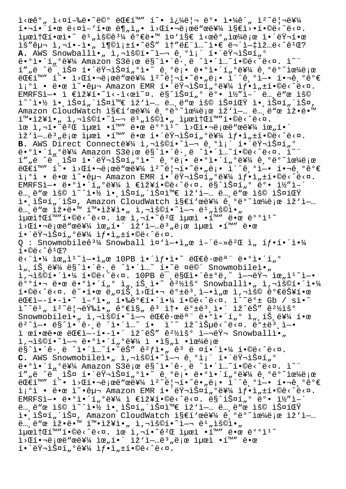$i \times \alpha \hat{e}^{\circ}$  ,  $i \times \alpha \hat{1} - \alpha \hat{e} \cdot \tilde{e}^{\circ}$  ,  $\ddot{e} \otimes \alpha$  and  $\ddot{e} \otimes \alpha$  is  $\ddot{e} \otimes \alpha$  is  $\ddot{e} \otimes \alpha$  is  $\ddot{e} \otimes \alpha$  is  $\ddot{e} \otimes \alpha$  is  $\ddot{e} \otimes \alpha$  is  $\ddot{e} \otimes \alpha$  is  $\ddot{e} \otimes \alpha$  is  $\ddot{e} \otimes \alpha$  $i \cdot \pi \cdot \pi \cdot \pi \cdot \pi$  =  $i \cdot \pi \cdot \pi \cdot \pi \cdot \pi \cdot \pi$  =  $i \cdot \pi \cdot \pi \cdot \pi \cdot \pi \cdot \pi$ .  $i\mu$ eit $i\sigma$ iensitet  $i\sigma$  and  $i\sigma$  and  $i\sigma$  and  $i\sigma$   $i\sigma$  is  $i\sigma$  is  $i\sigma$  is  $i\sigma$  is  $i\sigma$  is  $i\sigma$  is  $i\sigma$  is  $i\sigma$  is  $i\sigma$  is  $i\sigma$  is  $i\sigma$  is  $i\sigma$  is  $i\sigma$  is  $i\sigma$  is  $i\sigma$  is  $i\sigma$  is  $i\sigma$  is  $i\sigma$  is ìš″구 ì,¬í•-ì•" 충족í•~ëŠ″ ì†″루ì…~ì•€ 무엇입ë‹^꺌? **A.** AWS Snowballì•" ì,¬ìš©í•~ì—¬ 기ì¡´ 해러스í"° ë.ºì.´í"ºë¥¼ Amazon S3ë;œ ë§^ì.´ê.¸ë ^ì.´î…~í.©ë<^ë<¤. ì~" í""ë ^ë<sup>"</sup>,스 해러스í"°ì•<sup>~</sup> êˌ°ë¡• ë•°ì•´í"°ë¥¼ êˌ°ë°~으로  $\mathcal{L} \in \mathbb{R}$   $\mathbb{R}$   $\mathbb{R}$   $\mathbb{R}$   $\mathbb{R}$   $\mathbb{R}$   $\mathbb{R}$   $\mathbb{R}$   $\mathbb{R}$   $\mathbb{R}$   $\mathbb{R}$   $\mathbb{R}$   $\mathbb{R}$   $\mathbb{R}$   $\mathbb{R}$   $\mathbb{R}$   $\mathbb{R}$   $\mathbb{R}$   $\mathbb{R}$   $\mathbb{R}$   $\mathbb{R}$   $\mathbb{R}$   $\mathbb{R}$   $\mathbb{R$ i¡°ì • 땜 ì~•구 Amazon EMR 해러스í"°ë¥¼ ìf•ì"±í•©ë<^ë<¤. EMRFSì-• ì  $\epsilon$ 장í•~ì<-ì<œì~¤. ë§^스í"° ë°• ì½"i-´ ë…,ë"œ ìš© i~^i•½ i• iФí"´iФi™€ iž'i—… ë… ë"œ iš© iФ팟 i• iФí"´iФ, Amazon CloudWatch I§€í'œë¥¼ ê ºëº~으ë;œ lž'ì-… ë… ë"œ lž•ë.™  $i^{\text{m}}$ ·ìž¥ì·"ì,¬ìš©í·~ì—¬ ë<sup>1</sup>"용췄최소í™"í•©ë<^ë<¤. ìœ ì,¬í•<sup>~</sup>ê?Œ 최ì •í™" 땜 ë°°ì<sup>1</sup>~ i>Œí•¬ë¡œë™œë¥¼ 위í•´ iž`업몄로 최ì •í™" 땜 해러스í"°ë¥¼ 샕ì"±í•©ë<^ë<¤. B. AWS Direct Connect를 ì,¬ìš©í•~ì—¬ 기ì¡´ 해러스í"° ë. <sup>o</sup>i.´í "ºë¥¼ Amazon S3ë ¡œë§^ì.´ê.,ë ^ì.´î ^í.‱~í.©ë<^ë<¤. <sup>^</sup>i í",ë ^미스 해러스í,ºì•~ 긺ë¡• ë•°ì•´í,ºë¥¼ 긺ëº~으로  $\mathbb{E} \mathbb{E} \mathbb{E} \mathbb{E} \mathbb{E} \mathbb{E} \mathbb{E} \mathbb{E} \mathbb{E} \mathbb{E} \mathbb{E} \mathbb{E} \mathbb{E} \mathbb{E} \mathbb{E} \mathbb{E} \mathbb{E} \mathbb{E} \mathbb{E} \mathbb{E} \mathbb{E} \mathbb{E} \mathbb{E} \mathbb{E} \mathbb{E} \mathbb{E} \mathbb{E} \mathbb{E} \mathbb{E} \mathbb{E} \mathbb{E} \mathbb{E} \mathbb{E} \mathbb{E} \mathbb{E} \mathbb{E} \mathbb{$ ì¡°ì • 땜 ì~•구 Amazon EMR 해러스í"°ë¥¼ ìf•ì"±í•©ë<^ë<¤. EMRFSì-• ë•°ì•´í"°ë¥¼ ì €ìž¥í•©ë‹^다. ë§^스í"° ë°• ì½″ì-´ 노드 용 예약 앸스턴스와 작업 노드 용 스팟 ì.,iФí"´ìФ, Amazon CloudWatch ì§€í'œë¥¼ ê,ºëº~으로 ìž'ì-..  $\ddot{e}_{\cdots}$ , $\ddot{e}$ " $\alpha$   $\ddot{e}$  $\dot{e}$ .  $\ddot{e}$   $\ddot{e}$   $\ddot{e}$   $\ddot{e}$   $\ddot{e}$   $\ddot{e}$   $\ddot{e}$   $\ddot{e}$   $\ddot{e}$   $\ddot{e}$   $\ddot{e}$   $\ddot{e}$   $\ddot{e}$   $\ddot{e}$   $\ddot{e}$   $\ddot{e}$   $\ddot{e}$   $\ddot{e}$   $\ddot{e}$   $\ddot{e$ 최소í™"í•©ë<^ë<¤. ìœ ì,¬í•~ê?Œ 최ì •í™" 땜 ë°°ì1~  $\exists$ >C핬ë;œë"œë¥¼ 위í•´ ìž'ì–…ë3,ë;œ 최ì •í™" 땜  $i \in \mathbb{Z}$  ,  $\mathbb{Z}$  ,  $\mathbb{Z}$  ,  $\mathbb{Z}$  ,  $\mathbb{Z}$  ,  $\mathbb{Z}$  ,  $\mathbb{Z}$  ,  $\mathbb{Z}$  ,  $\mathbb{Z}$  ,  $\mathbb{Z}$  ,  $\mathbb{Z}$  ,  $\mathbb{Z}$  ,  $\mathbb{Z}$  ,  $\mathbb{Z}$  ,  $\mathbb{Z}$  ,  $\mathbb{Z}$  ,  $\mathbb{Z}$  ,  $\mathbb{Z}$  ,  $\mathbb{Z}$  ,  $\mathbb{Z}$  Q : Snowmobileê<sup>31</sup>/4 Snowball  $i\alpha'$   $i-\alpha i$   $\alpha$   $i-\alpha$ <sup>2</sup>  $\alpha$   $i$   $\beta$   $i$   $\beta$   $i-\alpha$   $i-\alpha$  $1 \cdot \mathbb{O}$ ë <  $\hat{e}$ <sup>1</sup> $\mathbb{C}$ ?  $e^2$  i.  $\frac{1}{4}$  im  $\frac{1}{2}$  i.  $\frac{1}{2}$  is  $\frac{1}{2}$  and  $\frac{1}{2}$  i. I.  $\frac{1}{2}$  i.  $\frac{1}{2}$  i.  $\frac{1}{2}$  i.  $\frac{1}{2}$  i.  $\frac{1}{2}$  i.  $\frac{1}{2}$  i.  $\frac{1}{2}$  i.  $\frac{1}{2}$  i.  $\frac{1}{2}$  i.  $\frac{1}{2}$  i.  $\frac{1}{2}$  i. ì",íŠ,를ë§^ì•´ê·,ë ^ì•´ì…~ í•~ë ¤ë©´ Snowmobileì•" i,"š©í•´ì•¼ í•©ë‹^다. 10PB ë¯,만앴ê±°ë,~ 여러 위ìº~ì—• ق°°1•) 땜 ë•°ì•´í"° ì",íŠ,ì•~ 꺽ìš° Snowballì•" ì,¬ìš©í•´ì•¼  $i \cdot 0$ ë< $\alpha$ . ë~ $i \cdot 1$ ,  $\alpha$  ë, $\alpha$ iš i> $\alpha$ i, ë $\alpha$  ë $\alpha$ i,i- $i \cdot 1$ , $\alpha$  i, $i \cdot 1$ š $\alpha$  ê $\alpha$ ë $\alpha$  $\ddot{e}$  $\mathbb{E}$ ì- $\dot{e}$   $\cdot$   $\ddot{e}$   $\cdot$   $\ddot{e}$   $\cdot$   $\ddot{e}$   $\cdot$   $\ddot{e}$   $\cdot$   $\ddot{e}$   $\cdot$   $\ddot{e}$   $\cdot$   $\ddot{e}$   $\cdot$   $\ddot{e}$   $\cdot$   $\ddot{e}$   $\cdot$   $\ddot{e}$   $\cdot$   $\ddot{e}$   $\cdot$   $\ddot{e}$   $\cdot$   $\ddot{e}$   $\cdot$   $\ddot{e}$  $i^*$ ë, i $i^*$ ë, dë $j^*$ si,  $j^*$  e $j^*$ is, ê $i^*$  ë,  $i^*$  iz $i^*$ ë,  $i^*$  e $i^*$ Snowmobileì•" ì,¬ìš©í•~ì—¬ 대ê∙œëª¨ ë•°ì•´í"° ì",íŠ,를 한 ë $^2$ ^ì—• ë§^ì•´ê $\cdot$ ,ë ^ì•´ì…~ í• ì^~ ìž^습ë $\leq$ ^ë<¤. ë $^{\sf o}$ ±ë $^{\sf 3}$ ,ì—• ì œí•œë•œ 대ì--í•-ì•´ ìž^ëŠ" ê2½ìš° ì-¬ëŸ¬ Snowballì•"  $i, \neg i$ š©í•̃ $i - \neg e \cdot 0$ i•´í"ºë¥¼ ì •ì§"ì •ìœ¼ë¡œ  $\frac{1}{2}$ ,  $\frac{1}{2}$ ,  $\frac{1}{2}$ ,  $\frac{1}{2}$ ,  $\frac{1}{2}$ ,  $\frac{1}{2}$ ,  $\frac{1}{2}$ ,  $\frac{1}{2}$ ,  $\frac{1}{2}$ ,  $\frac{1}{2}$ ,  $\frac{1}{2}$ ,  $\frac{1}{2}$ ,  $\frac{1}{2}$ ,  $\frac{1}{2}$ ,  $\frac{1}{2}$ ,  $\frac{1}{2}$ ,  $\frac{1}{2}$ ,  $\frac{1}{2}$ ,  $\frac{1}{2}$ ,  $\frac{1}{2}$ , C. AWS Snowmobileì., ì, -iš@í.<sup>~;\_\_</sup> ê, <sup>o</sup>i; í. éŸ-iФí, º ë.°ì.´í"°ë¥¼ Amazon S3ë;œ ë§^ì.´ê.¸ë ^ì.´î…~í.©ë<^ë<¤. ì~" í""ë ^미스 해러스í"ºì•~ 긺ë¡• 땺ì•´í"ºë¥¼ 긺ëº~으로  $\mathbb{E} \mathbb{E} \mathbb{E} \mathbb{E} \mathbb{E} \mathbb{E} \mathbb{E} \mathbb{E} \mathbb{E} \mathbb{E} \mathbb{E} \mathbb{E} \mathbb{E} \mathbb{E} \mathbb{E} \mathbb{E} \mathbb{E} \mathbb{E} \mathbb{E} \mathbb{E} \mathbb{E} \mathbb{E} \mathbb{E} \mathbb{E} \mathbb{E} \mathbb{E} \mathbb{E} \mathbb{E} \mathbb{E} \mathbb{E} \mathbb{E} \mathbb{E} \mathbb{E} \mathbb{E} \mathbb{E} \mathbb{E} \mathbb{$  $i^o$ ì • 땜 ì̃ •구 Amazon EMR 해러스í"°ë¥¼ ì $f$ •ì"±í•©ë<^ë<¤. EMRFSì-• ë•°ì•´í"°ë¥¼ ì €ìž¥í•©ë‹^다. ë§^스í"° ë°• ì½″ì-´  $\ddot{\mathbf{e}}$ . e"œ ìš© ì~^ì.»  $\ddot{\mathbf{z}}$  ì., iФí "´ìФì™ $\boldsymbol{\epsilon}$  ìž'ì—… e. ë"œ ìš© 스팟 ì., 스í"´ìФ, Amazon CloudWatch ì§€í'œë¥¼ ê ºëº~으ë;œ ìž'ì-...  $\ddot{e}$ ..., $\ddot{e}$ "œ l̃ž•ë•<sup>™</sup> í<sup>™</sup>•lž¥ì•" l,¬lš©í•~l̇̃–¬ ë<sup>1</sup>"lš©i•" 최소í™"í•©ë<^ë<¤. ìœ ì,¬í•~ê?Œ 최ì •í™" 땜 ë°°ì1~  $\frac{1}{2}$   $\frac{1}{2}$   $\frac{1}{2}$   $\frac{1}{2}$   $\frac{1}{2}$   $\frac{1}{2}$   $\frac{1}{2}$   $\frac{1}{2}$   $\frac{1}{2}$   $\frac{1}{2}$   $\frac{1}{2}$   $\frac{1}{2}$   $\frac{1}{2}$   $\frac{1}{2}$   $\frac{1}{2}$   $\frac{1}{2}$   $\frac{1}{2}$   $\frac{1}{2}$   $\frac{1}{2}$   $\frac{1}{2}$   $\frac{1}{2}$   $\frac{1}{2}$   $i \cdot \ddot{\text{e}}$   $\ddot{\text{y}}$   $\ddot{\text{y}}$   $\ddot{\text{z}}$   $\ddot{\text{y}}$   $\ddot{\text{y}}$   $\ddot{\text{y}}$   $\ddot{\text{y}}$   $\ddot{\text{y}}$   $\ddot{\text{y}}$   $\ddot{\text{y}}$   $\ddot{\text{y}}$   $\ddot{\text{y}}$   $\ddot{\text{y}}$   $\ddot{\text{y}}$   $\ddot{\text{y}}$   $\ddot{\text{y}}$   $\ddot{\text{y}}$   $\ddot{\text{y}}$   $\ddot{\text{y}}$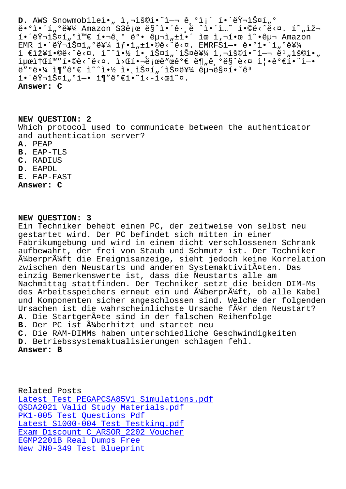땰앴터를 Amazon S3로 ë§ˆì•´ê·¸ë ˆì•´ì…˜ 합니다. 현재 해러스í"°ì™€ 핬ê º 뺕 구ì"±ì•´ ìœ ì,¬í•œ ì~•구 Amazon  $EMR$  해러 $1.8$ ¤í,ºë¥¼  $1f$ • $1.1$ • $@e$ <  $@e$ <  $@e$ × $@e$ .  $EMRF$ Sl-• $@e$ • $@e$ •´í, $@e$ ¥¼ ì €ìž¥í•©ë‹^다. ì~^약 ì• ìŠ¤í"´ìФ를 ì,¬ìš©í•~ì-¬ ë1"용아 iµœitŒí™"í.©ë<^ë<¤. i>Œí.¬ë;œë"œêº€ ë¶"ê,ºë§^ë<¤ i|.꺀í."ì-.  $e''$ °ë•¼ ì¶"ê°€ ì~^약 ì• lФí "´lФ를 구매í•~ê3 í.´ëŸ¬ìФí"ºì-. ì¶"꺀í.~`ì<-ì<œì~¤. **Answer: C**

**NEW QUESTION: 2** Which protocol used to communicate between the authenticator and authentication server? **A.** PEAP **B.** EAP-TLS **C.** RADIUS **D.** EAPOL **E.** EAP-FAST **Answer: C**

### **NEW QUESTION: 3**

Ein Techniker behebt einen PC, der zeitweise von selbst neu gestartet wird. Der PC befindet sich mitten in einer Fabrikumgebung und wird in einem dicht verschlossenen Schrank aufbewahrt, der frei von Staub und Schmutz ist. Der Techniker  $\tilde{A}^{1}$ /aberpr $\tilde{A}^{1}$ /aft die Ereignisanzeige, sieht jedoch keine Korrelation zwischen den Neustarts und anderen Systemaktivitäten. Das einzig Bemerkenswerte ist, dass die Neustarts alle am Nachmittag stattfinden. Der Techniker setzt die beiden DIM-Ms des Arbeitsspeichers erneut ein und ļberprüft, ob alle Kabel und Komponenten sicher angeschlossen sind. Welche der folgenden Ursachen ist die wahrscheinlichste Ursache f $\tilde{A}^{1/2}$ r den Neustart? A. Die Startgeräte sind in der falschen Reihenfolge **B.** Der PC ist  $\tilde{A}$  perhitzt und startet neu **C.** Die RAM-DIMMs haben unterschiedliche Geschwindigkeiten **D.** Betriebssystemaktualisierungen schlagen fehl. **Answer: B**

Related Posts Latest Test PEGAPCSA85V1 Simulations.pdf QSDA2021 Valid Study Materials.pdf PK1-005 Test Questions Pdf Latest S1000-004 Test Testking.pdf [Exam Discount C\\_ARSOR\\_2202 Voucher](http://tinova-japan.com/books/list-Latest-Test--Simulations.pdf-162627/PEGAPCSA85V1-exam.html) EGMP2201B Real Dumps Free [New JN0-349 Test Blueprint](http://tinova-japan.com/books/list-Latest--Test-Testking.pdf-050515/S1000-004-exam.html)